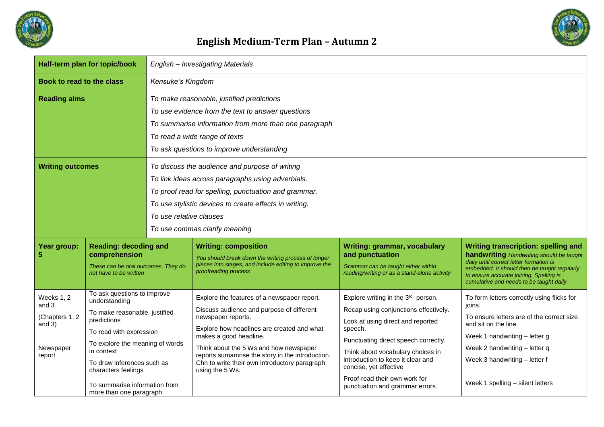

## **English Medium-Term Plan – Autumn 2**

| Half-term plan for topic/book                                            |                                                                                                                                                                                                                                                                                           | English - Investigating Materials                                                                                                                                                                                                                                                 |                                                                                                                                                                                                                                                                                                                                                          |                                                                                                                                                                                                                                                                                                                                             |                                                                                                                                                                                                                                                                         |  |  |
|--------------------------------------------------------------------------|-------------------------------------------------------------------------------------------------------------------------------------------------------------------------------------------------------------------------------------------------------------------------------------------|-----------------------------------------------------------------------------------------------------------------------------------------------------------------------------------------------------------------------------------------------------------------------------------|----------------------------------------------------------------------------------------------------------------------------------------------------------------------------------------------------------------------------------------------------------------------------------------------------------------------------------------------------------|---------------------------------------------------------------------------------------------------------------------------------------------------------------------------------------------------------------------------------------------------------------------------------------------------------------------------------------------|-------------------------------------------------------------------------------------------------------------------------------------------------------------------------------------------------------------------------------------------------------------------------|--|--|
| Book to read to the class                                                |                                                                                                                                                                                                                                                                                           | Kensuke's Kingdom                                                                                                                                                                                                                                                                 |                                                                                                                                                                                                                                                                                                                                                          |                                                                                                                                                                                                                                                                                                                                             |                                                                                                                                                                                                                                                                         |  |  |
| <b>Reading aims</b>                                                      |                                                                                                                                                                                                                                                                                           | To make reasonable, justified predictions<br>To use evidence from the text to answer questions<br>To summarise information from more than one paragraph<br>To read a wide range of texts<br>To ask questions to improve understanding                                             |                                                                                                                                                                                                                                                                                                                                                          |                                                                                                                                                                                                                                                                                                                                             |                                                                                                                                                                                                                                                                         |  |  |
| <b>Writing outcomes</b>                                                  |                                                                                                                                                                                                                                                                                           | To discuss the audience and purpose of writing<br>To link ideas across paragraphs using adverbials.<br>To proof read for spelling, punctuation and grammar.<br>To use stylistic devices to create effects in writing.<br>To use relative clauses<br>To use commas clarify meaning |                                                                                                                                                                                                                                                                                                                                                          |                                                                                                                                                                                                                                                                                                                                             |                                                                                                                                                                                                                                                                         |  |  |
| Year group:                                                              | <b>Reading: decoding and</b><br>comprehension<br>These can be oral outcomes. They do<br>not have to be written                                                                                                                                                                            |                                                                                                                                                                                                                                                                                   | <b>Writing: composition</b><br>You should break down the writing process of longer<br>pieces into stages, and include editing to improve the<br>proofreading process                                                                                                                                                                                     | Writing: grammar, vocabulary<br>and punctuation<br>Grammar can be taught either within<br>reading/writing or as a stand-alone activity                                                                                                                                                                                                      | <b>Writing transcription: spelling and</b><br>handwriting Handwriting should be taught<br>daily until correct letter formation is<br>embedded. It should then be taught regularly<br>to ensure accurate joining. Spelling is<br>cumulative and needs to be taught daily |  |  |
| Weeks 1, 2<br>and 3<br>(Chapters 1, 2<br>and $3)$<br>Newspaper<br>report | To ask questions to improve<br>understanding<br>To make reasonable, justified<br>predictions<br>To read with expression<br>To explore the meaning of words<br>in context<br>To draw inferences such as<br>characters feelings<br>To summarise information from<br>more than one paragraph |                                                                                                                                                                                                                                                                                   | Explore the features of a newspaper report.<br>Discuss audience and purpose of different<br>newspaper reports.<br>Explore how headlines are created and what<br>makes a good headline.<br>Think about the 5 Ws and how newspaper<br>reports sumamrise the story in the introduction.<br>Chn to write their own introductory paragraph<br>using the 5 Ws. | Explore writing in the 3rd person.<br>Recap using conjunctions effectively.<br>Look at using direct and reported<br>speech.<br>Punctuating direct speech correctly.<br>Think about vocabulary choices in<br>introduction to keep it clear and<br>concise, yet effective<br>Proof-read their own work for<br>punctuation and grammar errors. | To form letters correctly using flicks for<br>joins.<br>To ensure letters are of the correct size<br>and sit on the line.<br>Week 1 handwriting - letter g<br>Week 2 handwriting - letter q<br>Week 3 handwriting - letter f<br>Week 1 spelling - silent letters        |  |  |